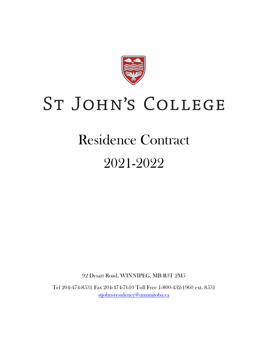

# ST JOHN'S COLLEGE

## Residence Contract

## 2021-2022

92 Dysart Road, WINNIPEG, MB R3T 2M5

Tel 204-474-8531 Fax 204-474-7610 Toll Free 1-800-432-1960 ext. 8531 [stjohnsresidence@umanitoba.ca](mailto:stjohnsresidence@umanitoba.ca)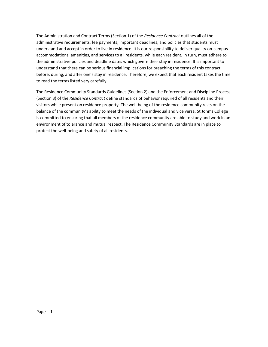The Administration and Contract Terms (Section 1) of the *Residence Contract* outlines all of the administrative requirements, fee payments, important deadlines, and policies that students must understand and accept in order to live in residence. It is our responsibility to deliver quality on‐campus accommodations, amenities, and services to all residents, while each resident, in turn, must adhere to the administrative policies and deadline dates which govern their stay in residence. It is important to understand that there can be serious financial implications for breaching the terms of this contract, before, during, and after one's stay in residence. Therefore, we expect that each resident takes the time to read the terms listed very carefully.

The Residence Community Standards Guidelines (Section 2) and the Enforcement and Discipline Process (Section 3) of the *Residence Contract* define standards of behavior required of all residents and their visitors while present on residence property. The well‐being of the residence community rests on the balance of the community's ability to meet the needs of the individual and vice versa. St John's College is committed to ensuring that all members of the residence community are able to study and work in an environment of tolerance and mutual respect. The Residence Community Standards are in place to protect the well‐being and safety of all residents.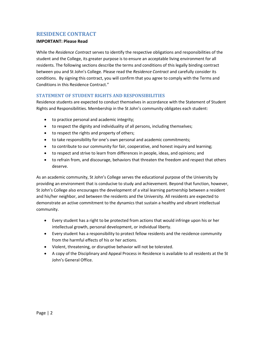## <span id="page-2-0"></span>**RESIDENCE CONTRACT**

#### **IMPORTANT: Please Read**

While the *Residence Contract* serves to identify the respective obligations and responsibilities of the student and the College, its greater purpose is to ensure an acceptable living environment for all residents. The following sections describe the terms and conditions of this legally binding contract between you and St John's College. Please read the *Residence Contract* and carefully consider its conditions. By signing this contract, you will confirm that you agree to comply with the Terms and Conditions in this Residence Contract."

#### <span id="page-2-1"></span>**STATEMENT OF STUDENT RIGHTS AND RESPONSIBILITIES**

Residence students are expected to conduct themselves in accordance with the Statement of Student Rights and Responsibilities. Membership in the St John's community obligates each student:

- to practice personal and academic integrity;
- to respect the dignity and individuality of all persons, including themselves;
- to respect the rights and property of others;
- to take responsibility for one's own personal and academic commitments;
- to contribute to our community for fair, cooperative, and honest inquiry and learning;
- to respect and strive to learn from differences in people, ideas, and opinions; and
- to refrain from, and discourage, behaviors that threaten the freedom and respect that others deserve.

As an academic community, St John's College serves the educational purpose of the University by providing an environment that is conducive to study and achievement. Beyond that function, however, St John's College also encourages the development of a vital learning partnership between a resident and his/her neighbor, and between the residents and the University. All residents are expected to demonstrate an active commitment to the dynamics that sustain a healthy and vibrant intellectual community.

- Every student has a right to be protected from actions that would infringe upon his or her intellectual growth, personal development, or individual liberty.
- Every student has a responsibility to protect fellow residents and the residence community from the harmful effects of his or her actions.
- Violent, threatening, or disruptive behavior will not be tolerated.
- A copy of the Disciplinary and Appeal Process in Residence is available to all residents at the St John's General Office.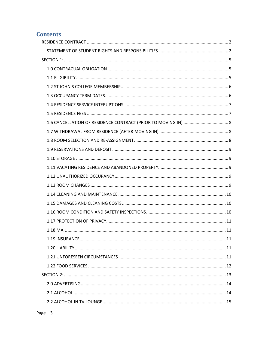## **Contents**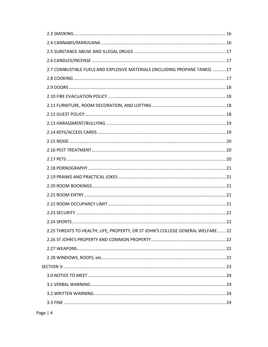| 2.7 COMBUSTIBLE FUELS AND EXPLOSIVE MATERIALS (INCLUDING PROPANE TANKS)  17     |  |
|---------------------------------------------------------------------------------|--|
|                                                                                 |  |
|                                                                                 |  |
|                                                                                 |  |
|                                                                                 |  |
|                                                                                 |  |
|                                                                                 |  |
|                                                                                 |  |
|                                                                                 |  |
|                                                                                 |  |
|                                                                                 |  |
|                                                                                 |  |
|                                                                                 |  |
|                                                                                 |  |
|                                                                                 |  |
|                                                                                 |  |
|                                                                                 |  |
|                                                                                 |  |
| 2.25 THREATS TO HEALTH, LIFE, PROPERTY, OR ST JOHN'S COLLEGE GENERAL WELFARE 22 |  |
|                                                                                 |  |
|                                                                                 |  |
|                                                                                 |  |
|                                                                                 |  |
|                                                                                 |  |
|                                                                                 |  |
|                                                                                 |  |
|                                                                                 |  |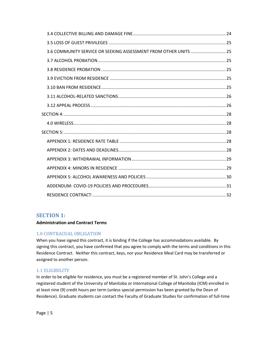| 3.6 COMMUNITY SERVICE OR SEEKING ASSESSMENT FROM OTHER UNITS  25 |  |
|------------------------------------------------------------------|--|
|                                                                  |  |
|                                                                  |  |
|                                                                  |  |
|                                                                  |  |
|                                                                  |  |
|                                                                  |  |
|                                                                  |  |
|                                                                  |  |
|                                                                  |  |
|                                                                  |  |
|                                                                  |  |
|                                                                  |  |
|                                                                  |  |
|                                                                  |  |
|                                                                  |  |
|                                                                  |  |

## <span id="page-5-0"></span>**SECTION 1:**

#### **Administration and Contract Terms**

#### <span id="page-5-1"></span>1.0 CONTRACUAL OBLIGATION

When you have signed this contract, it is binding if the College has accommodations available. By signing this contract, you have confirmed that you agree to comply with the terms and conditions in this Residence Contract. Neither this contract, keys, nor your Residence Meal Card may be transferred or assigned to another person.

#### <span id="page-5-2"></span>1.1 ELIGIBILITY

In order to be eligible for residence, you must be a registered member of St. John's College and a registered student of the University of Manitoba or International College of Manitoba (ICM) enrolled in at least nine (9) credit hours per term (unless special permission has been granted by the Dean of Residence). Graduate students can contact the Faculty of Graduate Studies for confirmation of full-time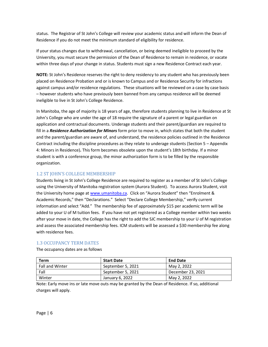status. The Registrar of St John's College will review your academic status and will inform the Dean of Residence if you do not meet the minimum standard of eligibility for residence.

If your status changes due to withdrawal, cancellation, or being deemed ineligible to proceed by the University, you must secure the permission of the Dean of Residence to remain in residence, or vacate within three days of your change in status. Students must sign a new Residence Contract each year.

**NOTE:** St John's Residence reserves the right to deny residency to any student who has previously been placed on Residence Probation and or is known to Campus and or Residence Security for infractions against campus and/or residence regulations. These situations will be reviewed on a case by case basis – however students who have previously been banned from any campus residence will be deemed ineligible to live in St John's College Residence.

In Manitoba, the age of majority is 18 years of age, therefore students planning to live in Residence at St John's College who are under the age of 18 require the signature of a parent or legal guardian on application and contractual documents. Underage students and their parent/guardian are required to fill in a *Residence Authorization for Minors* form prior to move in, which states that both the student and the parent/guardian are aware of, and understand, the residence policies outlined in the Residence Contract including the discipline procedures as they relate to underage students (Section 5 – Appendix 4: Minors in Residence)**.** This form becomes obsolete upon the student's 18th birthday. If a minor student is with a conference group, the minor authorization form is to be filled by the responsible organization.

#### <span id="page-6-0"></span>1.2 ST JOHN'S COLLEGE MEMBERSHIP

Students living in St John's College Residence are required to register as a member of St John's College using the University of Manitoba registration system (Aurora Student). To access Aurora Student, visit the University home page at [www.umanitoba.ca](http://www.umanitoba.ca/). Click on "Aurora Student" then "Enrolment & Academic Records," then "Declarations." Select "Declare College Membership," verify current information and select "Add." The membership fee of approximately \$15 per academic term will be added to your U of M tuition fees. If you have not yet registered as a College member within two weeks after your move in date, the College has the right to add the SJC membership to your U of M registration and assess the associated membership fees. ICM students will be assessed a \$30 membership fee along with residence fees.

#### <span id="page-6-1"></span>1.3 OCCUPANCY TERM DATES

The occupancy dates are as follows

| <b>Term</b>            | <b>Start Date</b> | <b>End Date</b>   |
|------------------------|-------------------|-------------------|
| <b>Fall and Winter</b> | September 5, 2021 | May 2, 2022       |
| Fall                   | September 5, 2021 | December 23, 2021 |
| Winter                 | January 6, 2022   | May 2, 2022       |

Note: Early move ins or late move outs may be granted by the Dean of Residence. If so, additional charges will apply.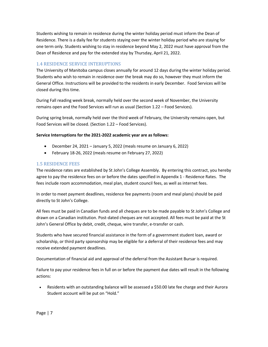Students wishing to remain in residence during the winter holiday period must inform the Dean of Residence. There is a daily fee for students staying over the winter holiday period who are staying for one term only. Students wishing to stay in residence beyond May 2, 2022 must have approval from the Dean of Residence and pay for the extended stay by Thursday, April 21, 2022.

## <span id="page-7-0"></span>1.4 RESIDENCE SERVICE INTERUPTIONS

The University of Manitoba campus closes annually for around 12 days during the winter holiday period. Students who wish to remain in residence over the break may do so, however they must inform the General Office. Instructions will be provided to the residents in early December. Food Services will be closed during this time.

During Fall reading week break, normally held over the second week of November, the University remains open and the Food Services will run as usual (Section 1.22 – Food Services).

During spring break, normally held over the third week of February, the University remains open, but Food Services will be closed. (Section 1.22 – Food Services).

#### **Service Interruptions for the 2021-2022 academic year are as follows:**

- December 24, 2021 January 5, 2022 (meals resume on January 6, 2022)
- February 18‐26, 2022 (meals resume on February 27, 2022)

#### <span id="page-7-1"></span>1.5 RESIDENCE FEES

The residence rates are established by St John's College Assembly. By entering this contract, you hereby agree to pay the residence fees on or before the dates specified in Appendix 1 - Residence Rates. The fees include room accommodation, meal plan, student council fees, as well as internet fees.

In order to meet payment deadlines, residence fee payments (room and meal plans) should be paid directly to St John's College.

All fees must be paid in Canadian funds and all cheques are to be made payable to St John's College and drawn on a Canadian institution. Post‐dated cheques are not accepted. All fees must be paid at the St John's General Office by debit, credit, cheque, wire transfer, e-transfer or cash.

Students who have secured financial assistance in the form of a government student loan, award or scholarship, or third party sponsorship may be eligible for a deferral of their residence fees and may receive extended payment deadlines.

Documentation of financial aid and approval of the deferral from the Assistant Bursar is required.

Failure to pay your residence fees in full on or before the payment due dates will result in the following actions:

• Residents with an outstanding balance will be assessed a \$50.00 late fee charge and their Aurora Student account will be put on "Hold."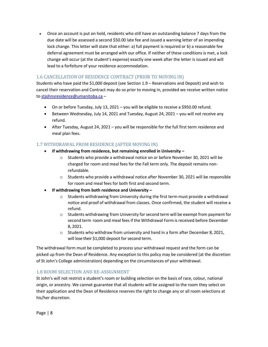• Once an account is put on hold, residents who still have an outstanding balance 7 days from the due date will be assessed a second \$50.00 late fee and issued a warning letter of an impending lock change. This letter will state that either: a) full payment is required or b) a reasonable fee deferral agreement must be arranged with our office. If neither of these conditions is met, a lock change will occur (at the student's expense) exactly one week after the letter is issued and will lead to a forfeiture of your residence accommodation.

## <span id="page-8-0"></span>1.6 CANCELLATION OF RESIDENCE CONTRACT (PRIOR TO MOVING IN)

Students who have paid the \$1,000 deposit (see Section 1.9 – Reservations and Deposit) and wish to cancel their reservation and Contract may do so prior to moving in, provided we receive written notice t[o stjohnsresidence@umanitoba.ca](mailto:stjohnsresidence@umanitoba.ca) –

- On or before Tuesday, July 13, 2021 you will be eligible to receive a \$950.00 refund.
- Between Wednesday, July 14, 2021 and Tuesday, August 24, 2021 you will not receive any refund.
- After Tuesday, August 24, 2021 you will be responsible for the full first term residence and meal plan fees.

#### <span id="page-8-1"></span>1.7 WITHDRAWAL FROM RESIDENCE (AFTER MOVING IN)

- **If withdrawing from residence, but remaining enrolled in University –**
	- $\circ$  Students who provide a withdrawal notice on or before November 30, 2021 will be charged for room and meal fees for the Fall term only. The deposit remains nonrefundable.
	- $\circ$  Students who provide a withdrawal notice after November 30, 2021 will be responsible for room and meal fees for both first and second term.
- **If withdrawing from both residence and University –**
	- $\circ$  Students withdrawing from University during the first term must provide a withdrawal notice and proof of withdrawal from classes. Once confirmed, the student will receive a refund.
	- o Students withdrawing from University for second term will be exempt from payment for second term room and meal fees if the Withdrawal Form is received before December 8, 2021.
	- $\circ$  Students who withdraw from university and hand in a form after December 8, 2021, will lose their \$1,000 deposit for second term.

The withdrawal form must be completed to process your withdrawal request and the form can be picked up from the Dean of Residence. Any exception to this policy may be considered (at the discretion of St John's College administration) depending on the circumstances of your withdrawal.

#### <span id="page-8-2"></span>1.8 ROOM SELECTION AND RE-ASSIGNMENT

St John's will not restrict a student's room or building selection on the basis of race, colour, national origin, or ancestry. We cannot guarantee that all students will be assigned to the room they select on their application and the Dean of Residence reserves the right to change any or all room selections at his/her discretion.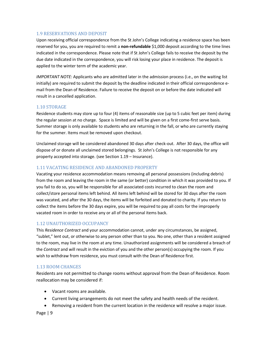#### <span id="page-9-0"></span>1.9 RESERVATIONS AND DEPOSIT

Upon receiving official correspondence from the St John's College indicating a residence space has been reserved for you, you are required to remit a **non-refundable** \$1,000 deposit according to the time lines indicated in the correspondence. Please note that if St John's College fails to receive the deposit by the due date indicated in the correspondence, you will risk losing your place in residence. The deposit is applied to the winter term of the academic year.

*IMPORTANT NOTE:* Applicants who are admitted later in the admission process (i.e., on the waiting list initially) are required to submit the deposit by the deadline indicated in their official correspondence e‐ mail from the Dean of Residence. Failure to receive the deposit on or before the date indicated will result in a cancelled application.

#### <span id="page-9-1"></span>1.10 STORAGE

Residence students may store up to four (4) items of reasonable size (up to 5 cubic feet per item) during the regular session at no charge. Space is limited and will be given on a first come-first serve basis. Summer storage is only available to students who are returning in the fall, or who are currently staying for the summer. Items must be removed upon checkout.

Unclaimed storage will be considered abandoned 30 days after check-out. After 30 days, the office will dispose of or donate all unclaimed stored belongings. St John's College is not responsible for any property accepted into storage. (see Section 1.19 – Insurance).

#### <span id="page-9-2"></span>1.11 VACATING RESIDENCE AND ABANDONED PROPERTY

Vacating your residence accommodation means removing all personal possessions (including debris) from the room and leaving the room in the same (or better) condition in which it was provided to you. If you fail to do so, you will be responsible for all associated costs incurred to clean the room and collect/store personal items left behind. All items left behind will be stored for 30 days after the room was vacated, and after the 30 days, the items will be forfeited and donated to charity. If you return to collect the items before the 30 days expire, you will be required to pay all costs for the improperly vacated room in order to receive any or all of the personal items back.

#### <span id="page-9-3"></span>1.12 UNAUTHORIZED OCCUPANCY

This *Residence Contract* and your accommodation cannot, under any circumstances, be assigned, "sublet," lent out, or otherwise to any person other than to you. No one, other than a resident assigned to the room, may live in the room at any time. Unauthorized assignments will be considered a breach of the *Contract* and will result in the eviction of you and the other person(s) occupying the room. If you wish to withdraw from residence, you must consult with the Dean of Residence first.

#### <span id="page-9-4"></span>1.13 ROOM CHANGES

Residents are not permitted to change rooms without approval from the Dean of Residence. Room reallocation may be considered if:

- Vacant rooms are available.
- Current living arrangements do not meet the safety and health needs of the resident.
- Removing a resident from the current location in the residence will resolve a major issue.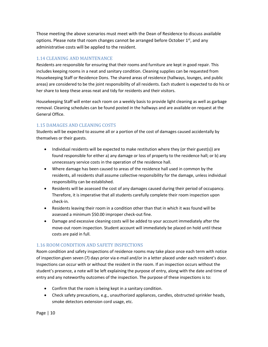Those meeting the above scenarios must meet with the Dean of Residence to discuss available options. Please note that room changes cannot be arranged before October  $1<sup>st</sup>$ , and any administrative costs will be applied to the resident.

## <span id="page-10-0"></span>1.14 CLEANING AND MAINTENANCE

Residents are responsible for ensuring that their rooms and furniture are kept in good repair. This includes keeping rooms in a neat and sanitary condition. Cleaning supplies can be requested from Housekeeping Staff or Residence Dons. The shared areas of residence (hallways, lounges, and public areas) are considered to be the joint responsibility of all residents. Each student is expected to do his or her share to keep these areas neat and tidy for residents and their visitors.

Housekeeping Staff will enter each room on a weekly basis to provide light cleaning as well as garbage removal. Cleaning schedules can be found posted in the hallways and are available on request at the General Office.

## <span id="page-10-1"></span>1.15 DAMAGES AND CLEANING COSTS

Students will be expected to assume all or a portion of the cost of damages caused accidentally by themselves or their guests.

- Individual residents will be expected to make restitution where they (or their guest(s)) are found responsible for either a) any damage or loss of property to the residence hall; or b) any unnecessary service costs in the operation of the residence hall.
- Where damage has been caused to areas of the residence hall used in common by the residents, all residents shall assume collective responsibility for the damage, unless individual responsibility can be established.
- Residents will be assessed the cost of any damages caused during their period of occupancy. Therefore, it is imperative that all students carefully complete their room inspection upon check‐in.
- Residents leaving their room in a condition other than that in which it was found will be assessed a minimum \$50.00 improper check-out fine.
- Damage and excessive cleaning costs will be added to your account immediately after the move‐out room inspection. Student account will immediately be placed on hold until these costs are paid in full.

## <span id="page-10-2"></span>1.16 ROOM CONDITION AND SAFETY INSPECTIONS

Room condition and safety inspections of residence rooms may take place once each term with notice of inspection given seven (7) days prior via e‐mail and/or in a letter placed under each resident's door. Inspections can occur with or without the resident in the room. If an inspection occurs without the student's presence, a note will be left explaining the purpose of entry, along with the date and time of entry and any noteworthy outcomes of the inspection. The purpose of these inspections is to:

- Confirm that the room is being kept in a sanitary condition.
- Check safety precautions, e.g., unauthorized appliances, candles, obstructed sprinkler heads, smoke detectors extension cord usage, etc.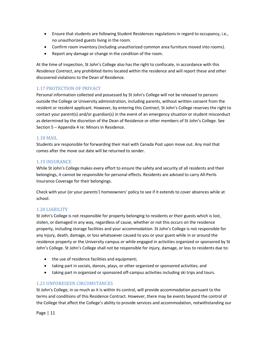- Ensure that students are following Student Residences regulations in regard to occupancy, i.e., no unauthorized guests living in the room.
- Confirm room inventory (including unauthorized common area furniture moved into rooms).
- Report any damage or change in the condition of the room.

At the time of inspection, St John's College also has the right to confiscate, in accordance with this *Residence Contract*, any prohibited items located within the residence and will report these and other discovered violations to the Dean of Residence.

### <span id="page-11-0"></span>1.17 PROTECTION OF PRIVACY

Personal information collected and possessed by St John's College will not be released to persons outside the College or University administration, including parents, without written consent from the resident or resident applicant. However, by entering this *Contract*, St John's College reserves the right to contact your parent(s) and/or guardian(s) in the event of an emergency situation or student misconduct as determined by the discretion of the Dean of Residence or other members of St John's College. See Section 5 – Appendix 4 re: Minors in Residence.

#### <span id="page-11-1"></span>1.18 MAIL

Students are responsible for forwarding their mail with Canada Post upon move out. Any mail that comes after the move out date will be returned to sender.

#### <span id="page-11-2"></span>1.19 INSURANCE

While St John's College makes every effort to ensure the safety and security of all residents and their belongings, it cannot be responsible for personal effects. Residents are advised to carry All‐Perils Insurance Coverage for their belongings.

Check with your (or your parents') homeowners' policy to see if it extends to cover absences while at school.

#### <span id="page-11-3"></span>1.20 LIABILITY

St John's College is not responsible for property belonging to residents or their guests which is lost, stolen, or damaged in any way, regardless of cause, whether or not this occurs on the residence property, including storage facilities and your accommodation. St John's College is not responsible for any injury, death, damage, or loss whatsoever caused to you or your guest while in or around the residence property or the University campus or while engaged in activities organized or sponsored by St John's College. St John's College shall not be responsible for injury, damage, or loss to residents due to:

- the use of residence facilities and equipment;
- taking part in socials, dances, plays, or other organized or sponsored activities; and
- taking part in organized or sponsored off-campus activities including ski trips and tours.

#### <span id="page-11-4"></span>1.21 UNFORESEEN CIRCUMSTANCES

St John's College, in so much as it is within its control, will provide accommodation pursuant to the terms and conditions of this Residence Contract. However, there may be events beyond the control of the College that affect the College's ability to provide services and accommodation, notwithstanding our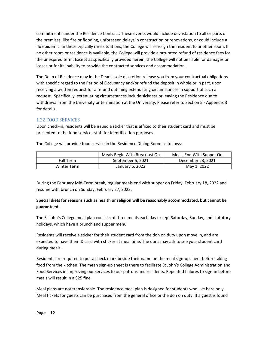commitments under the Residence Contract. These events would include devastation to all or parts of the premises, like fire or flooding, unforeseen delays in construction or renovations, or could include a flu epidemic. In these typically rare situations, the College will reassign the resident to another room. If no other room or residence is available, the College will provide a pro‐rated refund of residence fees for the unexpired term. Except as specifically provided herein, the College will not be liable for damages or losses or for its inability to provide the contracted services and accommodation.

The Dean of Residence may in the Dean's sole discretion release you from your contractual obligations with specific regard to the Period of Occupancy and/or refund the deposit in whole or in part, upon receiving a written request for a refund outlining extenuating circumstances in support of such a request. Specifically, extenuating circumstances include sickness or leaving the Residence due to withdrawal from the University or termination at the University. Please refer to Section 5 - Appendix 3 for details.

#### <span id="page-12-0"></span>1.22 FOOD SERVICES

Upon check-in, residents will be issued a sticker that is affixed to their student card and must be presented to the food services staff for identification purposes.

|             | Meals Begin With Breakfast On | Meals End With Supper On |  |
|-------------|-------------------------------|--------------------------|--|
| Fall Term   | September 5, 2021             | December 23, 2021        |  |
| Winter Term | January 6, 2022               | May 1, 2022              |  |

The College will provide food service in the Residence Dining Room as follows:

During the February Mid-Term break, regular meals end with supper on Friday, February 18, 2022 and resume with brunch on Sunday, February 27, 2022.

#### **Special diets for reasons such as health or religion will be reasonably accommodated, but cannot be guaranteed.**

The St John's College meal plan consists of three meals each day except Saturday, Sunday, and statutory holidays, which have a brunch and supper menu.

Residents will receive a sticker for their student card from the don on duty upon move in, and are expected to have their ID card with sticker at meal time. The dons may ask to see your student card during meals.

Residents are required to put a check mark beside their name on the meal sign-up sheet before taking food from the kitchen. The mean sign-up sheet is there to facilitate St John's College Administration and Food Services in improving our services to our patrons and residents. Repeated failures to sign-in before meals will result in a \$25 fine.

Meal plans are not transferable. The residence meal plan is designed for students who live here only. Meal tickets for guests can be purchased from the general office or the don on duty. If a guest is found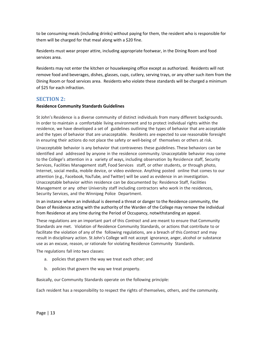to be consuming meals (including drinks) without paying for them, the resident who is responsible for them will be charged for that meal along with a \$20 fine.

Residents must wear proper attire, including appropriate footwear, in the Dining Room and food services area.

Residents may not enter the kitchen or housekeeping office except as authorized. Residents will not remove food and beverages, dishes, glasses, cups, cutlery, serving trays, or any other such item from the Dining Room or food services area. Residents who violate these standards will be charged a minimum of \$25 for each infraction.

## <span id="page-13-0"></span>**SECTION 2:**

#### **Residence Community Standards Guidelines**

St John's Residence is a diverse community of distinct individuals from many different backgrounds. In order to maintain a comfortable living environment and to protect individual rights within the residence, we have developed a set of guidelines outlining the types of behavior that are acceptable and the types of behavior that are unacceptable. Residents are expected to use reasonable foresight in ensuring their actions do not place the safety or well-being of themselves or others at risk.

Unacceptable behavior is any behavior that contravenes these guidelines. These behaviors can be identified and addressed by anyone in the residence community. Unacceptable behavior may come to the College's attention in a variety of ways, including observation by Residence staff, Security Services, Facilities Management staff, Food Services staff, or other students, or through photo, Internet, social media, mobile device, or video evidence. Anything posted online that comes to our attention (e.g., Facebook, YouTube, and Twitter) will be used as evidence in an investigation. Unacceptable behavior within residence can be documented by: Residence Staff, Facilities Management or any other University staff including contractors who work in the residences, Security Services, and the Winnipeg Police Department.

In an instance where an individual is deemed a threat or danger to the Residence community, the Dean of Residence acting with the authority of the Warden of the College may remove the individual from Residence at any time during the Period of Occupancy, notwithstanding an appeal.

These regulations are an important part of this *Contract* and are meant to ensure that Community Standards are met. Violation of Residence Community Standards, or actions that contribute to or facilitate the violation of any of the following regulations, are a breach of this *Contract* and may result in disciplinary action. St John's College will not accept ignorance, anger, alcohol or substance use as an excuse, reason, or rationale for violating Residence Community Standards.

The regulations fall into two classes:

- a. policies that govern the way we treat each other; and
- b. policies that govern the way we treat property.

Basically, our Community Standards operate on the following principle:

Each resident has a responsibility to respect the rights of themselves, others, and the community.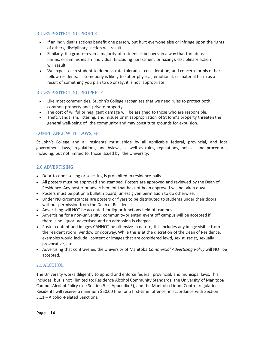#### RULES PROTECTING PEOPLE

- If an individual's actions benefit one person, but hurt everyone else or infringe upon the rights of others, disciplinary action will result.
- Similarly, if a group—even a majority of residents—behaves in a way that threatens, harms, or diminishes an individual (including harassment or hazing), disciplinary action will result.
- We expect each student to demonstrate tolerance, consideration, and concern for his or her fellow residents. If somebody is likely to suffer physical, emotional, or material harm as a result of something you plan to do or say, it is not appropriate.

#### RULES PROTECTING PROPERTY

- Like most communities, St John's College recognizes that we need rules to protect both common property and private property.
- The cost of willful or negligent damage will be assigned to those who are responsible.
- Theft, vandalism, littering, and misuse or misappropriation of St John's property threaten the general well-being of the community and may constitute grounds for expulsion.

#### COMPLIANCE WITH LAWS, etc.

St John's College and all residents must abide by all applicable federal, provincial, and local government laws, regulations, and bylaws, as well as rules, regulations, policies and procedures, including, but not limited to, those issued by the University.

#### <span id="page-14-0"></span>2.0 ADVERTISING

- Door‐to‐door selling or soliciting is prohibited in residence halls.
- All posters must be approved and stamped. Posters are approved and reviewed by the Dean of Residence. Any poster or advertisement that has not been approved will be taken down.
- Posters must be put on a bulletin board, unless given permission to do otherwise.
- Under NO circumstances are posters or flyers to be distributed to students under their doors without permission from the Dean of Residence.
- Advertising will NOT be accepted for liquor functions held off campus.
- Advertising for a non-university, community-oriented event off campus will be accepted if there is no liquor advertised and no admission is charged.
- Poster content and images CANNOT be offensive in nature; this includes any image visible from the resident room window or doorway. While this is at the discretion of the Dean of Residence, examples would include content or images that are considered lewd, sexist, racist, sexually provocative, etc.
- Advertising that contravenes the University of Manitoba *Commercial Advertising Policy* will NOT be accepted.

#### <span id="page-14-1"></span>2.1 ALCOHOL

The University works diligently to uphold and enforce federal, provincial, and municipal laws. This includes, but is not limited to: Residence Alcohol Community Standards, the University of Manitoba Campus Alcohol Policy (see Section 5 – Appendix 5), and the Manitoba Liquor Control regulations. Residents will receive a minimum \$50.00 fine for a first-time offence, in accordance with Section 3.11 – Alcohol‐Related Sanctions.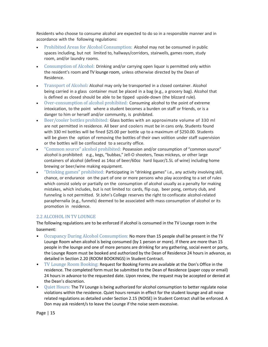Residents who choose to consume alcohol are expected to do so in a responsible manner and in accordance with the following regulations:

- Prohibited Areas for Alcohol Consumption: Alcohol may not be consumed in public spaces including, but not limited to, hallways/corridors, stairwells, games room, study room, and/or laundry rooms.
- Consumption of Alcohol: Drinking and/or carrying open liquor is permitted only within the resident's room and TV lounge room, unless otherwise directed by the Dean of Residence.
- Transport of Alcohol*:* Alcohol may only be transported in a closed container. Alcohol being carried in a glass container must be placed in a bag (e.g., a grocery bag). Alcohol that is defined as closed should be able to be tipped upside‐down (the blizzard rule).
- Over-consumption of alcohol prohibited: Consuming alcohol to the point of extreme intoxication, to the point where a student becomes a burden on staff or friends, or is a danger to him or herself and/or community, is prohibited.
- Beer/cooler bottles prohibited: Glass bottles with an approximate volume of 330 ml are not permitted in residence. All beer and coolers must be in cans only. Students found with 330 ml bottles will be fined \$25.00 per bottle up to a maximum of \$250.00. Students will be given the option of removing the bottles of their own volition under staff supervision or the bottles will be confiscated to a security office.
- "Common source" alcohol prohibited: Possession and/or consumption of "common source" alcohol is prohibited: e.g., kegs, "bubbas," Jell‐O shooters, Texas mickeys, or other large containers of alcohol (defined as 14oz of beer/60oz hard liquor/1.5L of wine) including home brewing or beer/wine making equipment.
- "Drinking games" prohibited: Participating in "drinking games" i.e., any activity involving skill, chance, or endurance on the part of one or more persons who play according to a set of rules which consist solely or partially on the consumption of alcohol usually as a penalty for making mistakes, which includes, but is not limited to: cards, flip cup, beer pong, century club, and funneling is not permitted. St John's College reserves the right to confiscate alcohol‐related paraphernalia (e.g., funnels) deemed to be associated with mass consumption of alcohol or its promotion in residence.

#### <span id="page-15-0"></span>2.2 ALCOHOL IN TV LOUNGE

The following regulations are to be enforced if alcohol is consumed in the TV Lounge room in the basement:

- Occupancy During Alcohol Consumption: No more than 15 people shall be present in the TV Lounge Room when alcohol is being consumed (by 1 person or more). If there are more than 15 people in the lounge and one of more persons are drinking for any gathering, social event or party, the Lounge Room must be booked and authorized by the Dean of Residence 24 hours in advance, as detailed in Section 2.20 (ROOM BOOKINGS) in Student Contract.
- TV Lounge Room Booking: Request for Booking Forms are available at the Don's Office in the residence. The completed form must be submitted to the Dean of Residence (paper copy or email) 24 hours in advance to the requested date. Upon review, the request may be accepted or denied at the Dean's discretion.
- Quiet Hours: The TV Lounge is being authorized for alcohol consumption to better regulate noise violations within the residence. Quiet hours remain in effect for the student lounge and all noise related regulations as detailed under Section 2.15 (NOISE) in Student Contract shall be enforced. A Don may ask resident/s to leave the Lounge if the noise seem excessive.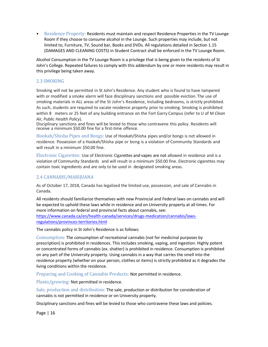• Residence Property: Residents must maintain and respect Residence Properties in the TV Lounge Room if they choose to consume alcohol in the Lounge. Such properties may include, but not limited to, Furniture, TV, Sound bar, Books and DVDs. All regulations detailed in Section 1.15 (DAMAGES AND CLEANING COSTS) in Student Contract shall be enforced in the TV Lounge Room.

Alcohol Consumption in the TV Lounge Room is a privilege that is being given to the residents of St John's College. Repeated failures to comply with this addendum by one or more residents may result in this privilege being taken away.

#### <span id="page-16-0"></span>2.3 SMOKING

Smoking will not be permitted in St John's Residence. Any student who is found to have tampered with or modified a smoke alarm will face disciplinary sanctions and possible eviction. The use of smoking materials in ALL areas of the St John's Residence, including bedrooms, is strictly prohibited. As such, students are required to vacate residence property prior to smoking. Smoking is prohibited within 8 meters or 25 feet of any building entrance on the Fort Garry Campus (refer to U of M *Clean Air, Public Health Policy*).

Disciplinary sanctions and fines will be levied to those who contravene this policy. Residents will receive a minimum \$50.00 fine for a first-time offence.

Hookah/Shisha Pipes and Bongs: Use of Hookah/Shisha pipes and/or bongs is not allowed in residence. Possession of a Hookah/Shisha pipe or bong is a violation of Community Standards and will result in a minimum \$50.00 fine.

Electronic Cigarettes: Use of Electronic Cigarettes and vapes are not allowed in residence and is a violation of Community Standards and will result in a minimum \$50.00 fine. Electronic cigarettes may contain toxic ingredients and are only to be used in designated smoking areas.

#### <span id="page-16-1"></span>2.4 CANNABIS/MARIJUANA

As of October 17, 2018, Canada has legalized the limited use, possession, and sale of Cannabis in Canada.

All residents should familiarize themselves with new Provincial and Federal laws on cannabis and will be expected to uphold these laws while in residence and on University property at all times. For more information on federal and provincial facts about cannabis, see: [https://www.canada.ca/en/health-canada/services/drugs-medication/cannabis/laws](https://www.canada.ca/en/health-canada/services/drugs-medication/cannabis/laws-regulations/provinces-territories.html)[regulations/provinces-territories.html](https://www.canada.ca/en/health-canada/services/drugs-medication/cannabis/laws-regulations/provinces-territories.html)

The cannabis policy in St John's Residence is as follows:

Consumption: The consumption of recreational cannabis (not for medicinal purposes by prescription) is prohibited in residences. This includes smoking, vaping, and ingestion. Highly potent or concentrated forms of cannabis (ex. shatter) is prohibited in residence. Consumption is prohibited on any part of the University property. Using cannabis in a way that carries the smell into the residence property (whether on your person, clothes or items) is strictly prohibited as it degrades the living conditions within the residence.

Preparing and Cooking of Cannabis Products: Not permitted in residence.

Plants/growing: Not permitted in residence.

Sale, production and distribution: The sale, production or distribution for consideration of cannabis is not permitted in residence or on University property.

Disciplinary sanctions and fines will be levied to those who contravene these laws and policies.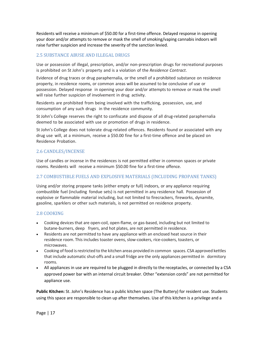Residents will receive a minimum of \$50.00 for a first-time offence. Delayed response in opening your door and/or attempts to remove or mask the smell of smoking/vaping cannabis indoors will raise further suspicion and increase the severity of the sanction levied.

## <span id="page-17-0"></span>2.5 SUBSTANCE ABUSE AND ILLEGAL DRUGS

Use or possession of illegal, prescription, and/or non‐prescription drugs for recreational purposes is prohibited on St John's property and is a violation of the *Residence Contract*.

Evidence of drug traces or drug paraphernalia, or the smell of a prohibited substance on residence property, in residence rooms, or common areas will be assumed to be conclusive of use or possession. Delayed response in opening your door and/or attempts to remove or mask the smell will raise further suspicion of involvement in drug activity.

Residents are prohibited from being involved with the trafficking, possession, use, and consumption of any such drugs in the residence community.

St John's College reserves the right to confiscate and dispose of all drug-related paraphernalia deemed to be associated with use or promotion of drugs in residence.

St John's College does not tolerate drug‐related offences. Residents found or associated with any drug use will, at a minimum, receive a \$50.00 fine for a first-time offence and be placed on Residence Probation.

#### <span id="page-17-1"></span>2.6 CANDLES/INCENSE

Use of candles or incense in the residences is not permitted either in common spaces or private rooms. Residents will receive a minimum \$50.00 fine for a first-time offence.

#### <span id="page-17-2"></span>2.7 COMBUSTIBLE FUELS AND EXPLOSIVE MATERIALS (INCLUDING PROPANE TANKS)

Using and/or storing propane tanks (either empty or full) indoors, or any appliance requiring combustible fuel (including fondue sets) is not permitted in any residence hall. Possession of explosive or flammable material including, but not limited to firecrackers, fireworks, dynamite, gasoline, sparklers or other such materials, is not permitted on residence property.

#### <span id="page-17-3"></span>2.8 COOKING

- Cooking devices that are open-coil, open-flame, or gas-based, including but not limited to butane‐burners, deep fryers, and hot plates, are not permitted in residence.
- Residents are not permitted to have any appliance with an enclosed heat source in their residence room. This includes toaster ovens, slow‐cookers, rice‐cookers, toasters, or microwaves.
- Cooking of food is restricted to the kitchen areas provided in common spaces. CSA approved kettles that include automatic shut‐offs and a small fridge are the only appliances permitted in dormitory rooms.
- All appliances in use are required to be plugged in directly to the receptacles, or connected by a CSA approved power bar with an internal circuit breaker. Other "extension cords" are not permitted for appliance use.

**Public Kitchen:** St. John's Residence has a public kitchen space (The Buttery) for resident use. Students using this space are responsible to clean up after themselves. Use of this kitchen is a privilege and a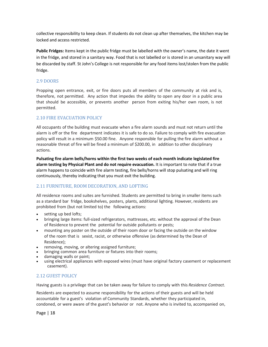collective responsibility to keep clean. If students do not clean up after themselves, the kitchen may be locked and access restricted.

**Public Fridges:** Items kept in the public fridge must be labelled with the owner's name, the date it went in the fridge, and stored in a sanitary way. Food that is not labelled or is stored in an unsanitary way will be discarded by staff. St John's College is not responsible for any food items lost/stolen from the public fridge.

#### <span id="page-18-0"></span>2.9 DOORS

Propping open entrance, exit, or fire doors puts all members of the community at risk and is, therefore, not permitted. Any action that impedes the ability to open any door in a public area that should be accessible, or prevents another person from exiting his/her own room, is not permitted.

#### <span id="page-18-1"></span>2.10 FIRE EVACUATION POLICY

All occupants of the building must evacuate when a fire alarm sounds and must not return until the alarm is off or the fire department indicates it is safe to do so. Failure to comply with fire evacuation policy will result in a minimum \$50.00 fine. Anyone responsible for pulling the fire alarm without a reasonable threat of fire will be fined a minimum of \$200.00, in addition to other disciplinary actions.

**Pulsating fire alarm bells/horns within the first two weeks of each month indicate legislated fire alarm testing by Physical Plant and do not require evacuation.** It is important to note that if a true alarm happens to coincide with fire alarm testing, fire bells/horns will stop pulsating and will ring continuously, thereby indicating that you must exit the building.

#### <span id="page-18-2"></span>2.11 FURNITURE, ROOM DECORATION, AND LOFTING

All residence rooms and suites are furnished. Students are permitted to bring in smaller items such as a standard bar fridge, bookshelves, posters, plants, additional lighting. However, residents are prohibited from (but not limited to) the following actions:

- setting up bed lofts;
- bringing large items: full‐sized refrigerators, mattresses, etc. without the approval of the Dean of Residence to prevent the potential for outside pollutants or pests;
- mounting any poster on the outside of their room door or facing the outside on the window of the room that is sexist, racist, or otherwise offensive (as determined by the Dean of Residence);
- removing, moving, or altering assigned furniture;<br>• bringing common area furniture or fixtures into the
- bringing common area furniture or fixtures into their rooms;
- damaging walls or paint;
- using electrical appliances with exposed wires (must have original factory casement or replacement casement).

## <span id="page-18-3"></span>2.12 GUEST POLICY

Having guests is a privilege that can be taken away for failure to comply with this *Residence Contract*.

Residents are expected to assume responsibility for the actions of their guests and will be held accountable for a guest's violation of Community Standards, whether they participated in, condoned, or were aware of the guest's behavior or not. Anyone who is invited to, accompanied on,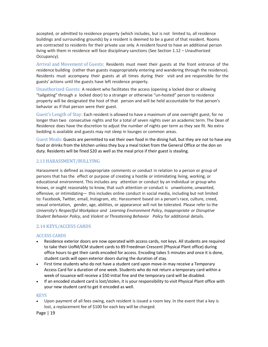accepted, or admitted to residence property (which includes, but is not limited to, all residence buildings and surrounding grounds) by a resident is deemed to be a guest of that resident. Rooms are contracted to residents for their private use only. A resident found to have an additional person living with them in residence will face disciplinary sanctions (See Section 1.12 – Unauthorized Occupancy).

Arrival and Movement of Guests: Residents must meet their guests at the front entrance of the residence building (rather than guests inappropriately entering and wandering through the residence). Residents must accompany their guests at all times during their visit and are responsible for the guests' actions until the guests have left residence property.

Unauthorized Guests: A resident who facilitates the access (opening a locked door or allowing "tailgating" through a locked door) to a stranger or otherwise "un‐hosted" person to residence property will be designated the host of that person and will be held accountable for that person's behavior as if that person were their guest.

Guest's Length of Stay: Each resident is allowed to have a maximum of one overnight guest, for no longer than two consecutive nights and for a total of seven nights over an academic term. The Dean of Residence does have the discretion to adjust the number of nights per term as they see fit. No extra bedding is available and guests may not sleep in lounges or common areas.

Guest Meals: Guests are permitted to eat their own food in the dining hall, but they are not to have any food or drinks from the kitchen unless they buy a meal ticket from the General Office or the don on duty. Residents will be fined \$20 as well as the meal price if their guest is stealing.

#### <span id="page-19-0"></span>2.13 HARASSMENT/BULLYING

Harassment is defined as inappropriate comments or conduct in relation to a person or group of persons that has the effect or purpose of creating a hostile or intimidating living, working, or educational environment. This includes any attention or conduct by an individual or group who knows, or ought reasonably to know, that such attention or conduct is unwelcome, unwanted, offensive, or intimidating— this includes online conduct in social media, including but not limited to: Facebook, Twitter, email, Instagram, etc. Harassment based on a person's race, culture, creed, sexual orientation, gender, age, abilities, or appearance will not be tolerated. Please refer to the *University's Respectful Workplace and Learning Environment Policy*, *Inappropriate or Disruptive Student Behavior Policy*, and *Violent or Threatening Behavior Policy* for additional details.

#### <span id="page-19-1"></span>2.14 KEYS/ACCESS CARDS

#### ACCESS CARDS

- Residence exterior doors are now operated with access cards, not keys. All students are required to take their UofM/ICM student cards to 89 Freedman Crescent (Physical Plant office) during office hours to get their cards encoded for access. Encoding takes 5 minutes and once it is done, student cards will open exterior doors during the duration of stay.
- First time students who do not have a student card upon move-in may receive a Temporary Access Card for a duration of one week. Students who do not return a temporary card within a week of issuance will receive a \$50 initial fine and the temporary card will be disabled.
- If an encoded student card is lost/stolen, it is your responsibility to visit Physical Plant office with your new student card to get it encoded as well.

#### **KEYS**

• Upon payment of all fees owing, each resident is issued a room key. In the event that a key is lost, a replacement fee of \$100 for each key will be charged.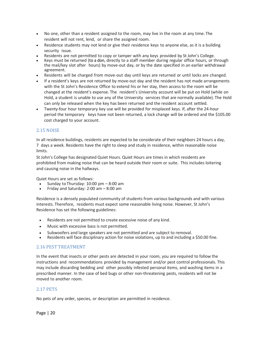- No one, other than a resident assigned to the room, may live in the room at any time. The resident will not rent, lend, or share the assigned room.
- Residence students may not lend or give their residence keys to anyone else, as it is a building security issue.
- Residents are not permitted to copy or tamper with any keys provided by St John's College.
- Keys must be returned (to a don, directly to a staff member during regular office hours, or through the mail/key slot after hours) by move-out day, or by the date specified in an earlier withdrawal agreement.
- Residents will be charged from move-out day until keys are returned or until locks are changed.
- If a resident's keys are not returned by move-out day and the resident has not made arrangements with the St John's Residence Office to extend his or her stay, then access to the room will be changed at the resident's expense. The resident's University account will be put on Hold (while on Hold, a student is unable to use any of the University services that are normally available). The Hold can only be released when the key has been returned and the resident account settled.
- Twenty-four hour temporary key use will be provided for misplaced keys. If, after the 24-hour period the temporary keys have not been returned, a lock change will be ordered and the \$105.00 cost charged to your account.

#### <span id="page-20-0"></span>2.15 NOISE

In all residence buildings, residents are expected to be considerate of their neighbors 24 hours a day, 7 days a week. Residents have the right to sleep and study in residence, within reasonable noise limits.

St John's College has designated Quiet Hours. Quiet Hours are times in which residents are prohibited from making noise that can be heard outside their room or suite. This includes loitering and causing noise in the hallways.

Quiet Hours are set as follows:

- Sunday to Thursday:  $10:00$  pm  $-8:00$  am
- Friday and Saturday: 2:00 am 8:00 am

Residence is a densely populated community of students from various backgrounds and with various interests. Therefore, residents must expect some reasonable living noise. However, St John's Residence has set the following guidelines:

- Residents are not permitted to create excessive noise of any kind.
- Music with excessive bass is not permitted.
- Subwoofers and large speakers are not permitted and are subject to removal.
- Residents will face disciplinary action for noise violations, up to and including a \$50.00 fine.

#### <span id="page-20-1"></span>2.16 PEST TREATMENT

In the event that insects or other pests are detected in your room, you are required to follow the instructions and recommendations provided by management and/or pest control professionals. This may include discarding bedding and other possibly infested personal items, and washing items in a prescribed manner. In the case of bed bugs or other non-threatening pests, residents will not be moved to another room.

#### <span id="page-20-2"></span>2.17 PETS

No pets of any order, species, or description are permitted in residence.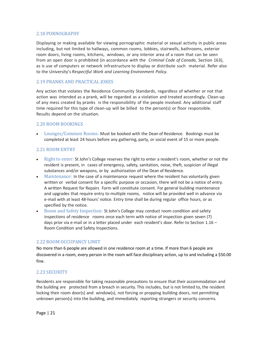#### <span id="page-21-0"></span>2.18 PORNOGRAPHY

Displaying or making available for viewing pornographic material or sexual activity in public areas including, but not limited to hallways, common rooms, lobbies, stairwells, bathrooms, exterior room doors, living rooms, kitchens, windows, or any interior area of a room that can be seen from an open door is prohibited (in accordance with the *Criminal Code of Canada*, Section 163), as is use of computers or network infrastructure to display or distribute such material. Refer also to the University's *Respectful Work and Learning Environment Policy.*

#### <span id="page-21-1"></span>2.19 PRANKS AND PRACTICAL JOKES

Any action that violates the Residence Community Standards, regardless of whether or not that action was intended as a prank, will be regarded as a violation and treated accordingly. Clean‐up of any mess created by pranks is the responsibility of the people involved. Any additional staff time required for this type of clean-up will be billed to the person(s) or floor responsible. Results depend on the situation.

#### <span id="page-21-2"></span>2.20 ROOM BOOKINGS

• Lounges/Common Rooms: Must be booked with the Dean of Residence. Bookings must be completed at least 24 hours before any gathering, party, or social event of 15 or more people.

#### <span id="page-21-3"></span>2.21 ROOM ENTRY

- Right to enter: St John's College reserves the right to enter a resident's room, whether or not the resident is present, in cases of emergency, safety, sanitation, noise, theft, suspicion of illegal substances and/or weapons, or by authorization of the Dean of Residence.
- Maintenance: In the case of a maintenance request where the resident has voluntarily given written or verbal consent for a specific purpose or occasion, there will not be a notice of entry. A written Request for Repairs Form will constitute consent. For general building maintenance and upgrades that require entry to multiple rooms, notice will be provided well in advance via e-mail with at least 48-hours' notice. Entry time shall be during regular office hours, or as specified by the notice.
- Room and Safety Inspection: St John's College may conduct room condition and safety inspections of residence rooms once each term with notice of inspection given seven (7) days prior via e-mail or in a letter placed under each resident's door. Refer to Section 1.16 -Room Condition and Safety Inspections.

#### <span id="page-21-4"></span>2.22 ROOM OCCUPANCY LIMIT

No more than 6 people are allowed in one residence room at a time. If more than 6 people are discovered in a room, every person in the room will face disciplinary action, up to and including a \$50.00 fine.

#### <span id="page-21-5"></span>2.23 SECURITY

Residents are responsible for taking reasonable precautions to ensure that their accommodation and the building are protected from a breach in security. This includes, but is not limited to, the resident locking their room door(s) and window(s), not forcing or propping building doors, not permitting unknown person(s) into the building, and immediately reporting strangers or security concerns.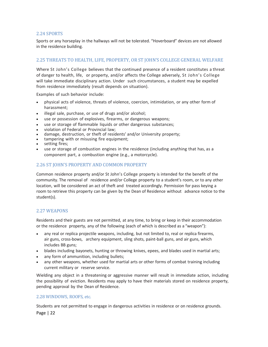#### <span id="page-22-0"></span>2.24 SPORTS

Sports or any horseplay in the hallways will not be tolerated. "Hoverboard" devices are not allowed in the residence building.

## <span id="page-22-1"></span>2.25 THREATS TO HEALTH, LIFE, PROPERTY, OR ST JOHN'S COLLEGE GENERAL WELFARE

Where St John's College believes that the continued presence of a resident constitutes a threat of danger to health, life, or property, and/or affects the College adversely, St John's College will take immediate disciplinary action. Under such circumstances, a student may be expelled from residence immediately (result depends on situation).

Examples of such behavior include:

- physical acts of violence, threats of violence, coercion, intimidation, or any other form of harassment;
- illegal sale, purchase, or use of drugs and/or alcohol;
- use or possession of explosives, firearms, or dangerous weapons;
- use or storage of flammable liquids or other dangerous substances;
- violation of Federal or Provincial law;
- damage, destruction, or theft of residents' and/or University property;
- tampering with or misusing fire equipment;
- setting fires;
- use or storage of combustion engines in the residence (including anything that has, as a component part, a combustion engine (e.g., a motorcycle).

#### <span id="page-22-2"></span>2.26 ST JOHN'S PROPERTY AND COMMON PROPERTY

Common residence property and/or St John's College property is intended for the benefit of the community. The removal of residence and/or College property to a student's room, or to any other location, will be considered an act of theft and treated accordingly. Permission for pass keying a room to retrieve this property can be given by the Dean of Residence without advance notice to the student(s).

#### <span id="page-22-3"></span>2.27 WEAPONS

Residents and their guests are not permitted, at any time, to bring or keep in their accommodation or the residence property, any of the following (each of which is described as a "weapon"):

- any real or replica projectile weapons, including, but not limited to, real or replica firearms, air guns, cross‐bows, archery equipment, sling shots, paint‐ball guns, and air guns, which includes BB guns;
- blades including bayonets, hunting or throwing knives, epees, and blades used in martial arts;
- any form of ammunition, including bullets;
- any other weapons, whether used for martial arts or other forms of combat training including current military or reserve service.

Wielding any object in a threatening or aggressive manner will result in immediate action, including the possibility of eviction. Residents may apply to have their materials stored on residence property, pending approval by the Dean of Residence.

#### <span id="page-22-4"></span>2.28 WINDOWS, ROOFS, etc.

Students are not permitted to engage in dangerous activities in residence or on residence grounds.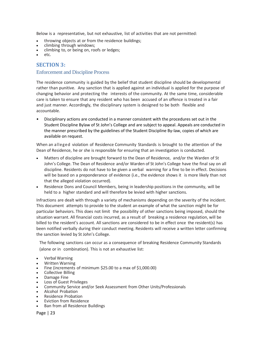Below is a representative, but not exhaustive, list of activities that are not permitted:

- throwing objects at or from the residence buildings;
- climbing through windows;
- climbing to, or being on, roofs or ledges;
- etc.

## <span id="page-23-0"></span>**SECTION 3:**

#### Enforcement and Discipline Process

The residence community is guided by the belief that student discipline should be developmental rather than punitive. Any sanction that is applied against an individual is applied for the purpose of changing behavior and protecting the interests of the community. At the same time, considerable care is taken to ensure that any resident who has been accused of an offence is treated in a fair and just manner. Accordingly, the disciplinary system is designed to be both flexible and accountable.

• Disciplinary actions are conducted in a manner consistent with the procedures set out in the Student Discipline Bylaw of St John's College and are subject to appeal. Appeals are conducted in the manner prescribed by the guidelines of the Student Discipline By‐law, copies of which are available on request.

When an alleged violation of Residence Community Standards is brought to the attention of the Dean of Residence, he or she is responsible for ensuring that an investigation is conducted.

- Matters of discipline are brought forward to the Dean of Residence, and/or the Warden of St John's College. The Dean of Residence and/or Warden of St John's College have the final say on all discipline. Residents do not have to be given a verbal warning for a fine to be in effect. Decisions will be based on a preponderance of evidence (i.e., the evidence shows it is more likely than not that the alleged violation occurred).
- Residence Dons and Council Members, being in leadership positions in the community, will be held to a higher standard and will therefore be levied with higher sanctions.

Infractions are dealt with through a variety of mechanisms depending on the severity of the incident. This document attempts to provide to the student an example of what the sanction might be for particular behaviors. This does not limit the possibility of other sanctions being imposed, should the situation warrant. All financial costs incurred, as a result of breaking a residence regulation, will be billed to the resident's account. All sanctions are considered to be in effect once the resident(s) has been notified verbally during their conduct meeting. Residents will receive a written letter confirming the sanction levied by St John's College.

The following sanctions can occur as a consequence of breaking Residence Community Standards (alone or in combination). This is not an exhaustive list:

- Verbal Warning
- Written Warning
- Fine (increments of minimum \$25.00 to a max of \$1,000.00)
- Collective Billing
- Damage Fine
- Loss of Guest Privileges
- Community Service and/or Seek Assessment from Other Units/Professionals
- Alcohol Probation
- Residence Probation
- Eviction from Residence
- Ban from all Residence Buildings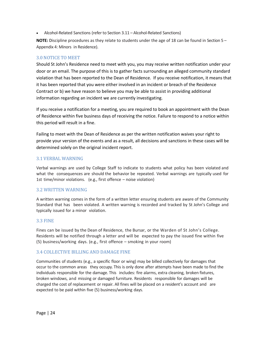• Alcohol-Related Sanctions (refer to Section 3.11 – Alcohol-Related Sanctions)

**NOTE:** Discipline procedures as they relate to students under the age of 18 can be found in Section 5 – Appendix 4: Minors in Residence).

#### <span id="page-24-0"></span>3.0 NOTICE TO MEET

Should St John's Residence need to meet with you, you may receive written notification under your door or an email. The purpose of this is to gather facts surrounding an alleged community standard violation that has been reported to the Dean of Residence. If you receive notification, it means that it has been reported that you were either involved in an incident or breach of the Residence Contract or b) we have reason to believe you may be able to assist in providing additional information regarding an incident we are currently investigating.

If you receive a notification for a meeting, you are required to book an appointment with the Dean of Residence within five business days of receiving the notice. Failure to respond to a notice within this period will result in a fine.

Failing to meet with the Dean of Residence as per the written notification waives your right to provide your version of the events and as a result, all decisions and sanctions in these cases will be determined solely on the original incident report.

#### <span id="page-24-1"></span>3.1 VERBAL WARNING

Verbal warnings are used by College Staff to indicate to students what policy has been violated and what the consequences are should the behavior be repeated. Verbal warnings are typically used for 1st time/minor violations. (e.g., first offence – noise violation)

#### <span id="page-24-2"></span>3.2 WRITTEN WARNING

A written warning comes in the form of a written letter ensuring students are aware of the Community Standard that has been violated. A written warning is recorded and tracked by St John's College and typically issued for a minor violation.

#### <span id="page-24-3"></span>3.3 FINE

Fines can be issued by the Dean of Residence, the Bursar, or the Warden of St John's College. Residents will be notified through a letter and will be expected to pay the issued fine within five (5) business/working days. (e.g., first offence – smoking in your room)

#### <span id="page-24-4"></span>3.4 COLLECTIVE BILLING AND DAMAGE FINE

Communities of students (e.g., a specific floor or wing) may be billed collectively for damages that occur to the common areas they occupy. This is only done after attempts have been made to find the individuals responsible for the damage. This includes: fire alarms, extra cleaning, broken fixtures, broken windows, and missing or damaged furniture. Residents responsible for damages will be charged the cost of replacement or repair. All fines will be placed on a resident's account and are expected to be paid within five (5) business/working days.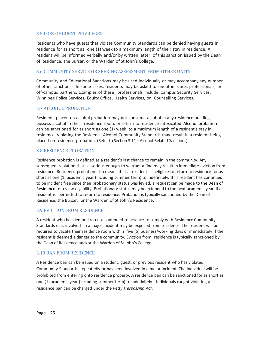#### <span id="page-25-0"></span>3.5 LOSS OF GUEST PRIVILEGES

Residents who have guests that violate Community Standards can be denied having guests in residence for as short as one (1) week to a maximum length of their stay in residence. A resident will be informed verbally and/or by written letter of this sanction issued by the Dean of Residence, the Bursar, or the Warden of St John's College.

#### <span id="page-25-1"></span>3.6 COMMUNITY SERVICE OR SEEKING ASSESSMENT FROM OTHER UNITS

Community and Educational Sanctions may be used individually or may accompany any number of other sanctions. In some cases, residents may be asked to see other units, professionals, or off-campus partners. Examples of these professionals include: Campus Security Services, Winnipeg Police Services, Equity Office, Health Services, or Counselling Services.

#### <span id="page-25-2"></span>3.7 ALCOHOL PROBATION

Residents placed on alcohol probation may not consume alcohol in any residence building, possess alcohol in their residence room, or return to residence intoxicated. Alcohol probation can be sanctioned for as short as one (1) week to a maximum length of a resident's stay in residence. Violating the Residence Alcohol Community Standards may result in a resident being placed on residence probation. (Refer to Section 3.11 – Alcohol‐Related Sanctions)

#### <span id="page-25-3"></span>3.8 RESIDENCE PROBATION

Residence probation is defined as a resident's last chance to remain in the community. Any subsequent violation that is serious enough to warrant a fine may result in immediate eviction from residence. Residence probation also means that a resident is ineligible to return to residence for as short as one (1) academic year (including summer term) to indefinitely. If a resident has continued to be incident free since their probationary status was levied, a request can be made to the Dean of Residence to review eligibility. Probationary status may be extended to the next academic year, if a resident is permitted to return to residence. Probation is typically sanctioned by the Dean of Residence, the Bursar, or the Warden of St John's Residence.

#### <span id="page-25-4"></span>3.9 EVICTION FROM RESIDENCE

A resident who has demonstrated a continued reluctance to comply with Residence Community Standards or is involved in a major incident may be expelled from residence. The resident will be required to vacate their residence room within five (5) business/working days or immediately if the resident is deemed a danger to the community. Eviction from residence is typically sanctioned by the Dean of Residence and/or the Warden of St John's College.

#### <span id="page-25-5"></span>3.10 BAN FROM RESIDENCE

A Residence ban can be issued on a student, guest, or previous resident who has violated Community Standards repeatedly or has been involved in a major incident. The individual will be prohibited from entering onto residence property. A residence ban can be sanctioned for as short as one (1) academic year (including summer term) to indefinitely. Individuals caught violating a residence ban can be charged under the *Petty Trespassing Act*.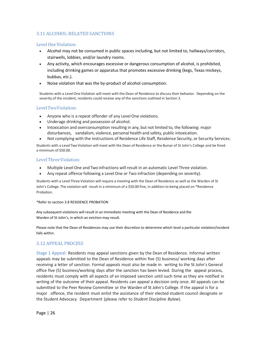## <span id="page-26-0"></span>3.11 ALCOHOL-RELATED SANCTIONS

#### Level One Violation:

- Alcohol may not be consumed in public spaces including, but not limited to, hallways/corridors, stairwells, lobbies, and/or laundry rooms.
- Any activity, which encourages excessive or dangerous consumption of alcohol, is prohibited, including drinking games or apparatus that promotes excessive drinking (kegs, Texas mickeys, bubbas, etc.).
- Noise violation that was the by-product of alcohol consumption.

Students with a LevelOne Violation will meet with the Dean of Residence to discusstheir behavior. Depending on the severity of the incident, residents could receive any of the sanctions outlined in Section 3.

#### LevelTwoViolation:

- Anyone who is a repeat offender of any Level One violations.
- Underage drinking and possession of alcohol.
- Intoxication and overconsumption resulting in any, but not limited to, the following: major disturbances, vandalism, violence, personal health and safety, public intoxication.
- Not complying with the instructions of Residence Life Staff, Residence Security, or Security Services.

Students with a Level Two Violation will meet with the Dean of Residence or the Bursar of St John's College and be fined a minimum of \$50.00.

#### LevelThreeViolation:

- Multiple Level One andTwo infractions will result in an automatic Level Three violation.
- Any repeat offence following a Level One or Two infraction (depending on severity).

Students with a Level Three Violation will require a meeting with the Dean of Residence as well as the Warden of St John's College. The violation will result in a minimum of a \$50.00 fine, in addition to being placed on \*Residence Probation.

#### \*Refer to section 3.8 RESIDENCE PROBATION

Any subsequent violations will result in an immediate meeting with the Dean of Residence and the Warden of St John's, in which an eviction may result.

Please note that the Dean of Residences may use their discretion to determine which level a particular violation/incident falls within.

#### <span id="page-26-1"></span>3.12 APPEAL PROCESS

Stage 1 Appeal: Residents may appeal sanctions given by the Dean of Residence. Informal written appeals may be submitted to the Dean of Residence within five (5) business/ working days after receiving a letter of sanction. Formal appeals must also be made in writing to the St John's General office five (5) business/working days after the sanction has been levied. During the appeal process, residents must comply with all aspects of an imposed sanction until such time as they are notified in writing of the outcome of their appeal. Residents can appeal a decision only once. All appeals can be submitted to the Peer Review Committee or the Warden of St John's College. If the appeal is for a major offence, the resident must enlist the assistance of their elected student council designate or the Student Advocacy Department (please refer to *Student Discipline Bylaw*).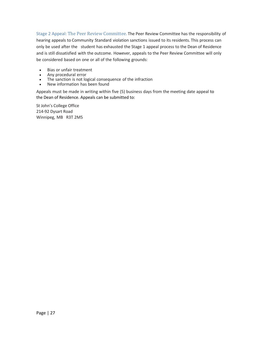Stage 2 Appeal: The Peer Review Committee. The Peer Review Committee has the responsibility of hearing appeals to Community Standard violation sanctions issued to its residents. This process can only be used after the student has exhausted the Stage 1 appeal process to the Dean of Residence and is still dissatisfied with the outcome. However, appeals to the Peer Review Committee will only be considered based on one or all of the following grounds:

- Bias or unfair treatment
- Any procedural error
- The sanction is not logical consequence of the infraction
- New information has been found

Appeals must be made in writing within five (5) business days from the meeting date appeal to the Dean of Residence. Appeals can be submitted to:

St John's College Office 214‐92 Dysart Road Winnipeg, MB R3T 2M5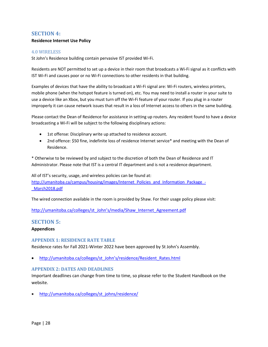## <span id="page-28-0"></span>**SECTION 4:**

## **Residence Internet Use Policy**

#### <span id="page-28-1"></span>4.0 WIRELESS

St John's Residence building contain pervasive IST provided Wi‐Fi.

Residents are NOT permitted to set up a device in their room that broadcasts a Wi‐Fi signal as it conflicts with IST Wi‐Fi and causes poor or no Wi‐Fi connections to other residents in that building.

Examples of devices that have the ability to broadcast a Wi‐Fi signal are: Wi‐Fi routers, wireless printers, mobile phone (when the hotspot feature is turned on), etc. You may need to install a router in your suite to use a device like an Xbox, but you must turn off the Wi‐Fi feature of your router. If you plug in a router improperly it can cause network issues that result in a loss of Internet access to others in the same building.

Please contact the Dean of Residence for assistance in setting up routers. Any resident found to have a device broadcasting a Wi‐Fi will be subject to the following disciplinary actions:

- 1st offense: Disciplinary write up attached to residence account.
- 2nd offence: \$50 fine, indefinite loss of residence Internet service\* and meeting with the Dean of Residence.

\* Otherwise to be reviewed by and subject to the discretion of both the Dean of Residence and IT Administrator. Please note that IST is a central IT department and is not a residence department.

All of IST's security, usage, and wireless policies can be found at: [http://umanitoba.ca/campus/housing/images/Internet\\_Policies\\_and\\_Information\\_Package\\_-](http://umanitoba.ca/campus/housing/images/Internet_Policies_and_Information_Package_-_March2018.pdf) [\\_March2018.pdf](http://umanitoba.ca/campus/housing/images/Internet_Policies_and_Information_Package_-_March2018.pdf)

The wired connection available in the room is provided by Shaw. For their usage policy please visit:

http://umanitoba.ca/colleges/st\_John's[/media/Shaw\\_Internet\\_Agreement.pdf](http://umanitoba.ca/colleges/st_johns/media/Shaw_Internet_Agreement.pdf)

#### <span id="page-28-2"></span>**SECTION 5:**

#### **Appendices**

#### <span id="page-28-3"></span>**APPENDIX 1: RESIDENCE RATE TABLE**

Residence rates for Fall 2021-Winter 2022 have been approved by St John's Assembly.

• [http://umanitoba.ca/colleges/st\\_John's/residence/Resident\\_Rates.html](http://umanitoba.ca/colleges/st_johns/residence/Resident_Rates.html)

#### <span id="page-28-4"></span>**APPENDIX 2: DATES AND DEADLINES**

Important deadlines can change from time to time, so please refer to the Student Handbook on the website.

• [http://umanitoba.ca/colleges/st\\_johns/residence/](http://umanitoba.ca/colleges/st_johns/residence/)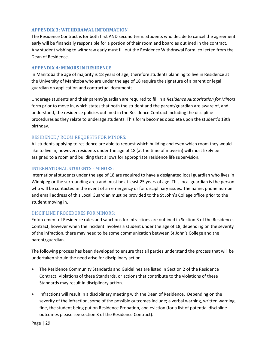#### <span id="page-29-0"></span>**APPENDIX 3: WITHDRAWAL INFORMATION**

The Residence Contract is for both first AND second term. Students who decide to cancel the agreement early will be financially responsible for a portion of their room and board as outlined in the contract. Any student wishing to withdraw early must fill out the Residence Withdrawal Form, collected from the Dean of Residence.

#### <span id="page-29-1"></span>**APPENDIX 4: MINORS IN RESIDENCE**

In Manitoba the age of majority is 18 years of age, therefore students planning to live in Residence at the University of Manitoba who are under the age of 18 require the signature of a parent or legal guardian on application and contractual documents.

Underage students and their parent/guardian are required to fill in a *Residence Authorization for Minors*  form prior to move in, which states that both the student and the parent/guardian are aware of, and understand, the residence policies outlined in the Residence Contract including the discipline procedures as they relate to underage students. This form becomes obsolete upon the student's 18th birthday.

#### RESIDENCE / ROOM REQUESTS FOR MINORS:

All students applying to residence are able to request which building and even which room they would like to live in; however, residents under the age of 18 (at the time of move-in) will most likely be assigned to a room and building that allows for appropriate residence life supervision.

#### INTERNATIONAL STUDENTS ‐ MINORS:

International students under the age of 18 are required to have a designated local guardian who lives in Winnipeg or the surrounding area and must be at least 25 years of age. This local guardian is the person who will be contacted in the event of an emergency or for disciplinary issues. The name, phone number and email address of this Local Guardian must be provided to the St John's College office prior to the student moving in.

#### DISCIPLINE PROCEDURES FOR MINORS:

Enforcement of Residence rules and sanctions for infractions are outlined in Section 3 of the Residences Contract, however when the incident involves a student under the age of 18, depending on the severity of the infraction, there may need to be some communication between St John's College and the parent/guardian.

The following process has been developed to ensure that all parties understand the process that will be undertaken should the need arise for disciplinary action.

- The Residence Community Standards and Guidelines are listed in Section 2 of the Residence Contract. Violations of these Standards, or actions that contribute to the violations of these Standards may result in disciplinary action.
- Infractions will result in a disciplinary meeting with the Dean of Residence. Depending on the severity of the infraction, some of the possible outcomes include; a verbal warning, written warning, fine, the student being put on Residence Probation, and eviction (for a list of potential discipline outcomes please see section 3 of the Residence Contract).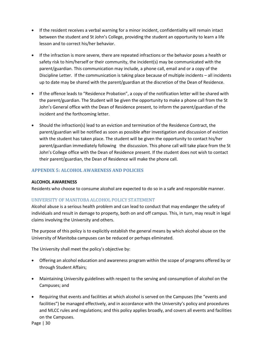- If the resident receives a verbal warning for a minor incident, confidentiality will remain intact between the student and St John's College, providing the student an opportunity to learn a life lesson and to correct his/her behavior.
- If the infraction is more severe, there are repeated infractions or the behavior poses a health or safety risk to him/herself or their community, the incident(s) may be communicated with the parent/guardian. This communication may include, a phone call, email and or a copy of the Discipline Letter. If the communication is taking place because of multiple incidents – all incidents up to date may be shared with the parent/guardian at the discretion of the Dean of Residence.
- If the offence leads to "Residence Probation", a copy of the notification letter will be shared with the parent/guardian. The Student will be given the opportunity to make a phone call from the St John's General office with the Dean of Residence present, to inform the parent/guardian of the incident and the forthcoming letter.
- Should the infraction(s) lead to an eviction and termination of the Residence Contract, the parent/guardian will be notified as soon as possible after investigation and discussion of eviction with the student has taken place. The student will be given the opportunity to contact his/her parent/guardian immediately following the discussion. This phone call will take place from the St John's College office with the Dean of Residence present. If the student does not wish to contact their parent/guardian, the Dean of Residence will make the phone call.

## <span id="page-30-0"></span>**APPENDIX 5: ALCOHOL AWARENESS AND POLICIES**

#### **ALCOHOL AWARENESS**

Residents who choose to consume alcohol are expected to do so in a safe and responsible manner.

#### UNIVERSITY OF MANITOBA ALCOHOL POLICY STATEMENT

Alcohol abuse is a serious health problem and can lead to conduct that may endanger the safety of individuals and result in damage to property, both on and off campus. This, in turn, may result in legal claims involving the University and others.

The purpose of this policy is to explicitly establish the general means by which alcohol abuse on the University of Manitoba campuses can be reduced or perhaps eliminated.

The University shall meet the policy's objective by:

- Offering an alcohol education and awareness program within the scope of programs offered by or through Student Affairs;
- Maintaining University guidelines with respect to the serving and consumption of alcohol on the Campuses; and
- Requiring that events and facilities at which alcohol is served on the Campuses (the "events and facilities") be managed effectively, and in accordance with the University's policy and procedures and MLCC rules and regulations; and this policy applies broadly, and covers all events and facilities on the Campuses.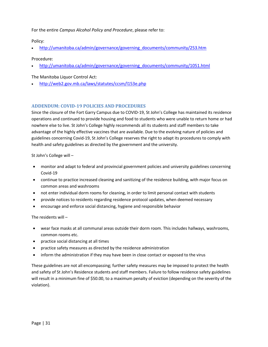For the entire *Campus Alcohol Policy and Procedure*, please refer to:

Policy:

• [http://umanitoba.ca/admin/governance/governing\\_documents/community/253.htm](http://umanitoba.ca/admin/governance/governing_documents/community/253.htm)

#### Procedure:

• [http://umanitoba.ca/admin/governance/governing\\_documents/community/1051.html](http://umanitoba.ca/admin/governance/governing_documents/community/1051.html)

The Manitoba Liquor Control Act:

• <http://web2.gov.mb.ca/laws/statutes/ccsm/l153e.php>

#### <span id="page-31-0"></span>**ADDENDUM: COVID-19 POLICIES AND PROCEDURES**

Since the closure of the Fort Garry Campus due to COVID-19, St John's College has maintained its residence operations and continued to provide housing and food to students who were unable to return home or had nowhere else to live. St John's College highly recommends all its students and staff members to take advantage of the highly effective vaccines that are available. Due to the evolving nature of policies and guidelines concerning Covid-19, St John's College reserves the right to adapt its procedures to comply with health and safety guidelines as directed by the government and the university.

St John's College will –

- monitor and adapt to federal and provincial government policies and university guidelines concerning Covid-19
- continue to practice increased cleaning and sanitizing of the residence building, with major focus on common areas and washrooms
- not enter individual dorm rooms for cleaning, in order to limit personal contact with students
- provide notices to residents regarding residence protocol updates, when deemed necessary
- encourage and enforce social distancing, hygiene and responsible behavior

The residents will –

- wear face masks at all communal areas outside their dorm room. This includes hallways, washrooms, common rooms etc.
- practice social distancing at all times
- practice safety measures as directed by the residence administration
- inform the administration if they may have been in close contact or exposed to the virus

These guidelines are not all encompassing; further safety measures may be imposed to protect the health and safety of St John's Residence students and staff members. Failure to follow residence safety guidelines will result in a minimum fine of \$50.00, to a maximum penalty of eviction (depending on the severity of the violation).